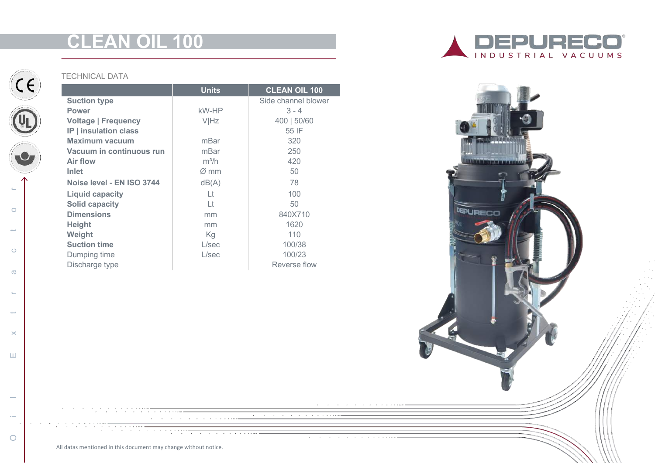# **CLEAN OIL 100**



Oil Extractor

 $\times$ 

 $\sqcup\!\sqcup$ 

 $\circ$ 

 $\rightarrow$ 

 $\mathbf{L}$ 

 $\circ$ 

 $\leftarrow$ 

 $\circ$ 

 $\sigma$ 

 $\mathbf{L}_{\mathbf{r}}$ 

## TECHNICAL DATA

|                              | <b>Units</b>     | <b>CLEAN OIL 100</b> |
|------------------------------|------------------|----------------------|
| <b>Suction type</b>          |                  | Side channel blower  |
| <b>Power</b>                 | kW-HP            | $3 - 4$              |
| <b>Voltage   Frequency</b>   | <b>VIHz</b>      | 400   50/60          |
| <b>IP</b>   insulation class |                  | 55 IF                |
| Maximum vacuum               | mBar             | 320                  |
| Vacuum in continuous run     | mBar             | 250                  |
| <b>Air flow</b>              | $m^3/h$          | 420                  |
| <b>Inlet</b>                 | $\varnothing$ mm | 50                   |
| Noise level - EN ISO 3744    | dB(A)            | 78                   |
| <b>Liquid capacity</b>       | Lt               | 100                  |
| <b>Solid capacity</b>        | Lt               | 50                   |
| <b>Dimensions</b>            | mm               | 840X710              |
| <b>Height</b>                | mm               | 1620                 |
| Weight                       | Kg               | 110                  |
| <b>Suction time</b>          | L/sec            | 100/38               |
| Dumping time                 | L/sec            | 100/23               |
| Discharge type               |                  | Reverse flow         |

 $\alpha$  . The contract of the contract of the contract of the contract of the contract of the contract of the contract of the contract of the contract of the contract of the contract of the contract of the contract of the co





and the company of the company

the contract of the contract of the contract of

All datas mentioned in this document may change without notice.